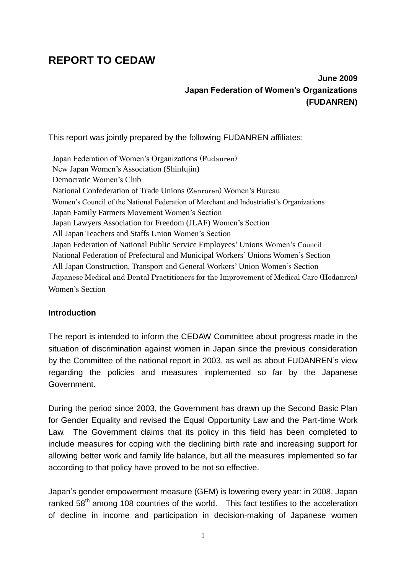# **REPORT TO CEDAW**

## **June 2009 Japan Federation of Women's Organizations (FUDANREN)**

This report was jointly prepared by the following FUDANREN affiliates;

Japan Federation of Women's Organizations (Fudanren) New Japan Women's Association (Shinfujin) Democratic Women's Club National Confederation of Trade Unions (Zenroren) Women's Bureau Women's Council of the National Federation of Merchant and Industrialist's Organizations Japan Family Farmers Movement Women's Section Japan Lawyers Association for Freedom (JLAF) Women's Section All Japan Teachers and Staffs Union Women's Section Japan Federation of National Public Service Employees' Unions Women's Council National Federation of Prefectural and Municipal Workers' Unions Women's Section All Japan Construction, Transport and General Workers' Union Women's Section Japanese Medical and Dental Practitioners for the Improvement of Medical Care (Hodanren) Women's Section

## **Introduction**

The report is intended to inform the CEDAW Committee about progress made in the situation of discrimination against women in Japan since the previous consideration by the Committee of the national report in 2003, as well as about FUDANREN's view regarding the policies and measures implemented so far by the Japanese Government.

During the period since 2003, the Government has drawn up the Second Basic Plan for Gender Equality and revised the Equal Opportunity Law and the Part-time Work Law. The Government claims that its policy in this field has been completed to include measures for coping with the declining birth rate and increasing support for allowing better work and family life balance, but all the measures implemented so far according to that policy have proved to be not so effective.

Japan's gender empowerment measure (GEM) is lowering every year: in 2008, Japan ranked  $58<sup>th</sup>$  among 108 countries of the world. This fact testifies to the acceleration of decline in income and participation in decision-making of Japanese women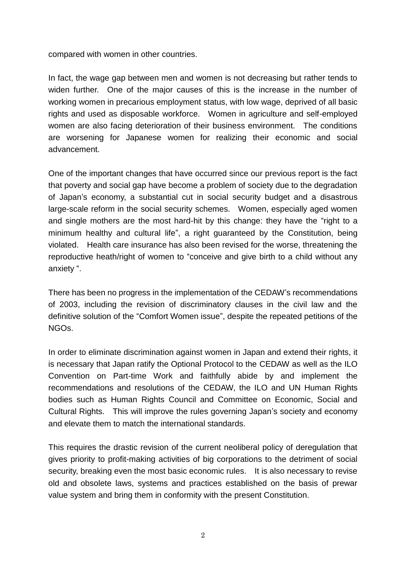compared with women in other countries.

In fact, the wage gap between men and women is not decreasing but rather tends to widen further. One of the major causes of this is the increase in the number of working women in precarious employment status, with low wage, deprived of all basic rights and used as disposable workforce. Women in agriculture and self-employed women are also facing deterioration of their business environment. The conditions are worsening for Japanese women for realizing their economic and social advancement.

One of the important changes that have occurred since our previous report is the fact that poverty and social gap have become a problem of society due to the degradation of Japan's economy, a substantial cut in social security budget and a disastrous large-scale reform in the social security schemes. Women, especially aged women and single mothers are the most hard-hit by this change: they have the "right to a minimum healthy and cultural life", a right guaranteed by the Constitution, being violated. Health care insurance has also been revised for the worse, threatening the reproductive heath/right of women to "conceive and give birth to a child without any anxiety ".

There has been no progress in the implementation of the CEDAW's recommendations of 2003, including the revision of discriminatory clauses in the civil law and the definitive solution of the "Comfort Women issue", despite the repeated petitions of the NGOs.

In order to eliminate discrimination against women in Japan and extend their rights, it is necessary that Japan ratify the Optional Protocol to the CEDAW as well as the ILO Convention on Part-time Work and faithfully abide by and implement the recommendations and resolutions of the CEDAW, the ILO and UN Human Rights bodies such as Human Rights Council and Committee on Economic, Social and Cultural Rights. This will improve the rules governing Japan's society and economy and elevate them to match the international standards.

This requires the drastic revision of the current neoliberal policy of deregulation that gives priority to profit-making activities of big corporations to the detriment of social security, breaking even the most basic economic rules. It is also necessary to revise old and obsolete laws, systems and practices established on the basis of prewar value system and bring them in conformity with the present Constitution.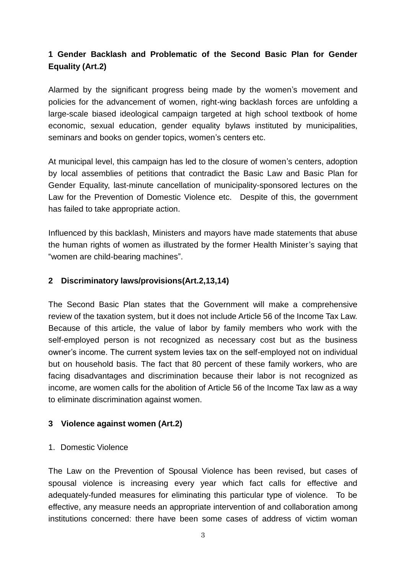## **1 Gender Backlash and Problematic of the Second Basic Plan for Gender Equality (Art.2)**

Alarmed by the significant progress being made by the women's movement and policies for the advancement of women, right-wing backlash forces are unfolding a large-scale biased ideological campaign targeted at high school textbook of home economic, sexual education, gender equality bylaws instituted by municipalities, seminars and books on gender topics, women's centers etc.

At municipal level, this campaign has led to the closure of women's centers, adoption by local assemblies of petitions that contradict the Basic Law and Basic Plan for Gender Equality, last-minute cancellation of municipality-sponsored lectures on the Law for the Prevention of Domestic Violence etc. Despite of this, the government has failed to take appropriate action.

Influenced by this backlash, Ministers and mayors have made statements that abuse the human rights of women as illustrated by the former Health Minister's saying that "women are child-bearing machines".

### **2 Discriminatory laws/provisions(Art.2,13,14)**

The Second Basic Plan states that the Government will make a comprehensive review of the taxation system, but it does not include Article 56 of the Income Tax Law. Because of this article, the value of labor by family members who work with the self-employed person is not recognized as necessary cost but as the business owner's income. The current system levies tax on the self-employed not on individual but on household basis. The fact that 80 percent of these family workers, who are facing disadvantages and discrimination because their labor is not recognized as income, are women calls for the abolition of Article 56 of the Income Tax law as a way to eliminate discrimination against women.

## **3 Violence against women (Art.2)**

#### 1. Domestic Violence

The Law on the Prevention of Spousal Violence has been revised, but cases of spousal violence is increasing every year which fact calls for effective and adequately-funded measures for eliminating this particular type of violence. To be effective, any measure needs an appropriate intervention of and collaboration among institutions concerned: there have been some cases of address of victim woman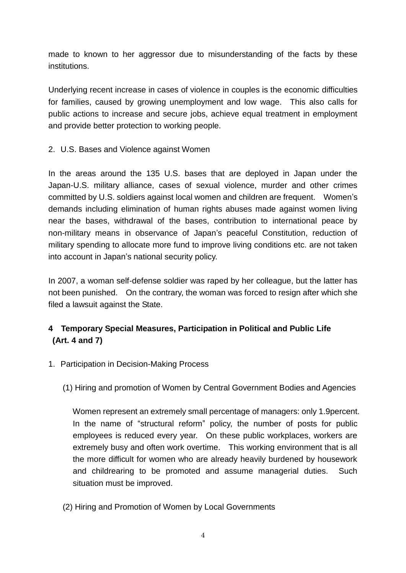made to known to her aggressor due to misunderstanding of the facts by these institutions.

Underlying recent increase in cases of violence in couples is the economic difficulties for families, caused by growing unemployment and low wage. This also calls for public actions to increase and secure jobs, achieve equal treatment in employment and provide better protection to working people.

2. U.S. Bases and Violence against Women

In the areas around the 135 U.S. bases that are deployed in Japan under the Japan-U.S. military alliance, cases of sexual violence, murder and other crimes committed by U.S. soldiers against local women and children are frequent. Women's demands including elimination of human rights abuses made against women living near the bases, withdrawal of the bases, contribution to international peace by non-military means in observance of Japan's peaceful Constitution, reduction of military spending to allocate more fund to improve living conditions etc. are not taken into account in Japan's national security policy.

In 2007, a woman self-defense soldier was raped by her colleague, but the latter has not been punished. On the contrary, the woman was forced to resign after which she filed a lawsuit against the State.

## **4 Temporary Special Measures, Participation in Political and Public Life (Art. 4 and 7)**

- 1. Participation in Decision-Making Process
	- (1) Hiring and promotion of Women by Central Government Bodies and Agencies

Women represent an extremely small percentage of managers: only 1.9percent. In the name of "structural reform" policy, the number of posts for public employees is reduced every year. On these public workplaces, workers are extremely busy and often work overtime. This working environment that is all the more difficult for women who are already heavily burdened by housework and childrearing to be promoted and assume managerial duties. Such situation must be improved.

(2) Hiring and Promotion of Women by Local Governments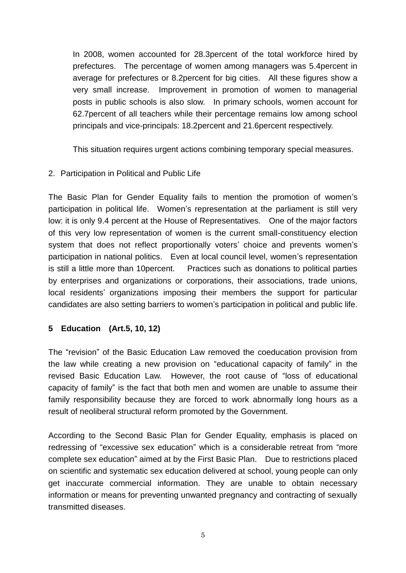In 2008, women accounted for 28.3percent of the total workforce hired by prefectures. The percentage of women among managers was 5.4percent in average for prefectures or 8.2percent for big cities. All these figures show a very small increase. Improvement in promotion of women to managerial posts in public schools is also slow. In primary schools, women account for 62.7percent of all teachers while their percentage remains low among school principals and vice-principals: 18.2percent and 21.6percent respectively.

This situation requires urgent actions combining temporary special measures.

### 2. Participation in Political and Public Life

The Basic Plan for Gender Equality fails to mention the promotion of women's participation in political life. Women's representation at the parliament is still very low: it is only 9.4 percent at the House of Representatives. One of the major factors of this very low representation of women is the current small-constituency election system that does not reflect proportionally voters' choice and prevents women's participation in national politics. Even at local council level, women's representation is still a little more than 10percent. Practices such as donations to political parties by enterprises and organizations or corporations, their associations, trade unions, local residents' organizations imposing their members the support for particular candidates are also setting barriers to women's participation in political and public life.

## **5 Education (Art.5, 10, 12)**

The "revision" of the Basic Education Law removed the coeducation provision from the law while creating a new provision on "educational capacity of family" in the revised Basic Education Law. However, the root cause of "loss of educational capacity of family" is the fact that both men and women are unable to assume their family responsibility because they are forced to work abnormally long hours as a result of neoliberal structural reform promoted by the Government.

According to the Second Basic Plan for Gender Equality, emphasis is placed on redressing of "excessive sex education" which is a considerable retreat from "more complete sex education" aimed at by the First Basic Plan. Due to restrictions placed on scientific and systematic sex education delivered at school, young people can only get inaccurate commercial information. They are unable to obtain necessary information or means for preventing unwanted pregnancy and contracting of sexually transmitted diseases.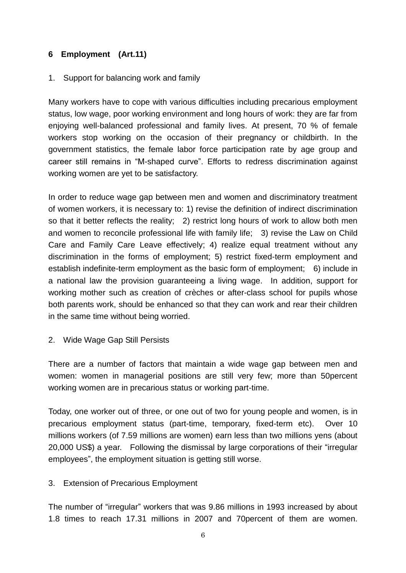## **6 Employment (Art.11)**

### 1. Support for balancing work and family

Many workers have to cope with various difficulties including precarious employment status, low wage, poor working environment and long hours of work: they are far from enjoying well-balanced professional and family lives. At present, 70 % of female workers stop working on the occasion of their pregnancy or childbirth. In the government statistics, the female labor force participation rate by age group and career still remains in "M-shaped curve". Efforts to redress discrimination against working women are yet to be satisfactory.

In order to reduce wage gap between men and women and discriminatory treatment of women workers, it is necessary to: 1) revise the definition of indirect discrimination so that it better reflects the reality; 2) restrict long hours of work to allow both men and women to reconcile professional life with family life; 3) revise the Law on Child Care and Family Care Leave effectively; 4) realize equal treatment without any discrimination in the forms of employment; 5) restrict fixed-term employment and establish indefinite-term employment as the basic form of employment; 6) include in a national law the provision guaranteeing a living wage. In addition, support for working mother such as creation of crèches or after-class school for pupils whose both parents work, should be enhanced so that they can work and rear their children in the same time without being worried.

## 2. Wide Wage Gap Still Persists

There are a number of factors that maintain a wide wage gap between men and women: women in managerial positions are still very few; more than 50percent working women are in precarious status or working part-time.

Today, one worker out of three, or one out of two for young people and women, is in precarious employment status (part-time, temporary, fixed-term etc). Over 10 millions workers (of 7.59 millions are women) earn less than two millions yens (about 20,000 US\$) a year. Following the dismissal by large corporations of their "irregular employees", the employment situation is getting still worse.

## 3. Extension of Precarious Employment

The number of "irregular" workers that was 9.86 millions in 1993 increased by about 1.8 times to reach 17.31 millions in 2007 and 70percent of them are women.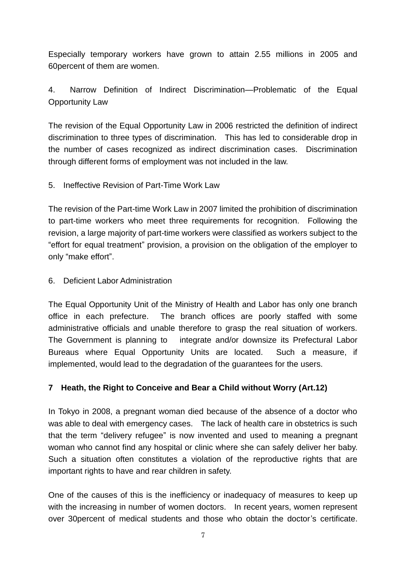Especially temporary workers have grown to attain 2.55 millions in 2005 and 60percent of them are women.

## 4. Narrow Definition of Indirect Discrimination—Problematic of the Equal Opportunity Law

The revision of the Equal Opportunity Law in 2006 restricted the definition of indirect discrimination to three types of discrimination. This has led to considerable drop in the number of cases recognized as indirect discrimination cases. Discrimination through different forms of employment was not included in the law.

## 5. Ineffective Revision of Part-Time Work Law

The revision of the Part-time Work Law in 2007 limited the prohibition of discrimination to part-time workers who meet three requirements for recognition. Following the revision, a large majority of part-time workers were classified as workers subject to the "effort for equal treatment" provision, a provision on the obligation of the employer to only "make effort".

### 6. Deficient Labor Administration

The Equal Opportunity Unit of the Ministry of Health and Labor has only one branch office in each prefecture. The branch offices are poorly staffed with some administrative officials and unable therefore to grasp the real situation of workers. The Government is planning to integrate and/or downsize its Prefectural Labor Bureaus where Equal Opportunity Units are located. Such a measure, if implemented, would lead to the degradation of the guarantees for the users.

## **7 Heath, the Right to Conceive and Bear a Child without Worry (Art.12)**

In Tokyo in 2008, a pregnant woman died because of the absence of a doctor who was able to deal with emergency cases. The lack of health care in obstetrics is such that the term "delivery refugee" is now invented and used to meaning a pregnant woman who cannot find any hospital or clinic where she can safely deliver her baby. Such a situation often constitutes a violation of the reproductive rights that are important rights to have and rear children in safety.

One of the causes of this is the inefficiency or inadequacy of measures to keep up with the increasing in number of women doctors. In recent years, women represent over 30percent of medical students and those who obtain the doctor's certificate.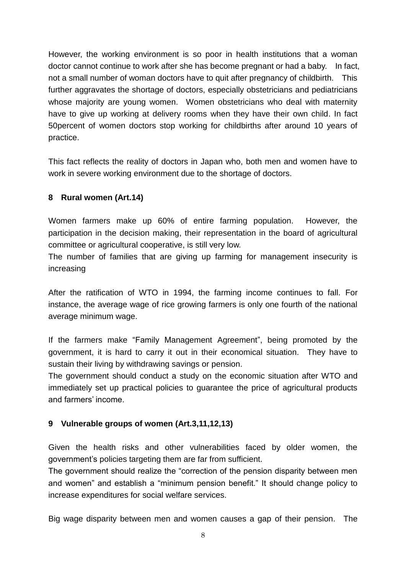However, the working environment is so poor in health institutions that a woman doctor cannot continue to work after she has become pregnant or had a baby. In fact, not a small number of woman doctors have to quit after pregnancy of childbirth. This further aggravates the shortage of doctors, especially obstetricians and pediatricians whose majority are young women. Women obstetricians who deal with maternity have to give up working at delivery rooms when they have their own child. In fact 50percent of women doctors stop working for childbirths after around 10 years of practice.

This fact reflects the reality of doctors in Japan who, both men and women have to work in severe working environment due to the shortage of doctors.

## **8 Rural women (Art.14)**

Women farmers make up 60% of entire farming population. However, the participation in the decision making, their representation in the board of agricultural committee or agricultural cooperative, is still very low.

The number of families that are giving up farming for management insecurity is increasing

After the ratification of WTO in 1994, the farming income continues to fall. For instance, the average wage of rice growing farmers is only one fourth of the national average minimum wage.

If the farmers make "Family Management Agreement", being promoted by the government, it is hard to carry it out in their economical situation. They have to sustain their living by withdrawing savings or pension.

The government should conduct a study on the economic situation after WTO and immediately set up practical policies to guarantee the price of agricultural products and farmers' income.

## **9 Vulnerable groups of women (Art.3,11,12,13)**

Given the health risks and other vulnerabilities faced by older women, the government's policies targeting them are far from sufficient.

The government should realize the "correction of the pension disparity between men and women" and establish a "minimum pension benefit." It should change policy to increase expenditures for social welfare services.

Big wage disparity between men and women causes a gap of their pension. The